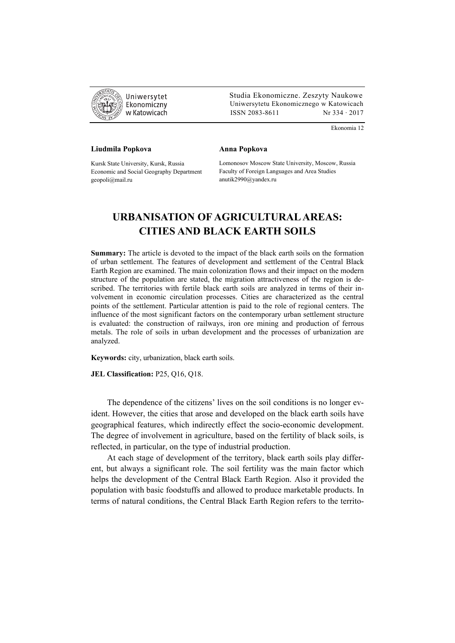

 Studia Ekonomiczne. Zeszyty Naukowe Ekonomiczny Uniwersytetu Ekonomicznego w Katowicach w Katowicach Matsus (ISSN 2083-8611 Nr 334 · 2017

Ekonomia 12

## **Liudmila Popkova**

**Anna Popkova** 

Kursk State University, Kursk, Russia Economic and Social Geography Department geopoli@mail.ru

Lomonosov Moscow State University, Moscow, Russia Faculty of Foreign Languages and Area Studies anutik2990@yandex.ru

## **URBANISATION OF AGRICULTURAL AREAS: CITIES AND BLACK EARTH SOILS**

**Summary:** The article is devoted to the impact of the black earth soils on the formation of urban settlement. The features of development and settlement of the Central Black Earth Region are examined. The main colonization flows and their impact on the modern structure of the population are stated, the migration attractiveness of the region is described. The territories with fertile black earth soils are analyzed in terms of their involvement in economic circulation processes. Cities are characterized as the central points of the settlement. Particular attention is paid to the role of regional centers. The influence of the most significant factors on the contemporary urban settlement structure is evaluated: the construction of railways, iron ore mining and production of ferrous metals. The role of soils in urban development and the processes of urbanization are analyzed.

**Keywords:** city, urbanization, black earth soils.

**JEL Classification:** P25, Q16, Q18.

The dependence of the citizens' lives on the soil conditions is no longer evident. However, the cities that arose and developed on the black earth soils have geographical features, which indirectly effect the socio-economic development. The degree of involvement in agriculture, based on the fertility of black soils, is reflected, in particular, on the type of industrial production.

At each stage of development of the territory, black earth soils play different, but always a significant role. The soil fertility was the main factor which helps the development of the Central Black Earth Region. Also it provided the population with basic foodstuffs and allowed to produce marketable products. In terms of natural conditions, the Central Black Earth Region refers to the territo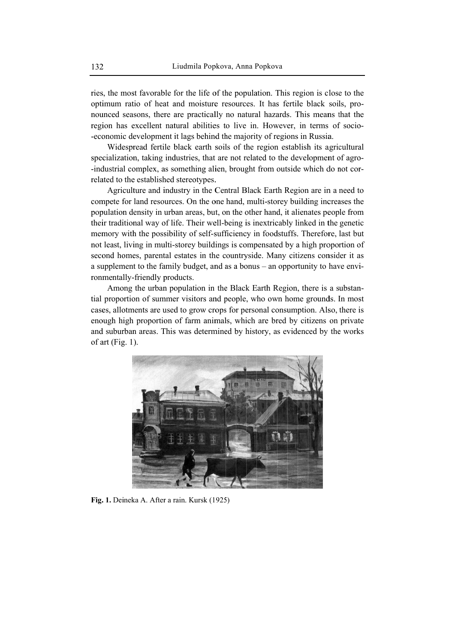ries, the most favorable for the life of the population. This region is close to the optimum ratio of heat and moisture resources. It has fertile black soils, pronounced seasons, there are practically no natural hazards. This means that the region has excellent natural abilities to live in. However, in terms of socio--economic development it lags behind the majority of regions in Russia.

Widespread fertile black earth soils of the region establish its agricultural specialization, taking industries, that are not related to the development of agro--industrial complex, as something alien, brought from outside which do not correlated to the established stereotypes.

Agriculture and industry in the Central Black Earth Region are in a need to compete for land resources. On the one hand, multi-storey building increases the population density in urban areas, but, on the other hand, it alienates people from their traditional way of life. Their well-being is inextricably linked in the genetic memory with the possibility of self-sufficiency in foodstuffs. Therefore, last but not least, living in multi-storey buildings is compensated by a high proportion of second homes, parental estates in the countryside. Many citizens consider it as a supplement to the family budget, and as a bonus – an opportunity to have environmentally-friendly products.

Among the urban population in the Black Earth Region, there is a substantial proportion of summer visitors and people, who own home grounds. In most cases, allotments are used to grow crops for personal consumption. Also, there is enough high proportion of farm animals, which are bred by citizens on private and suburban areas. This was determined by history, as evidenced by the works of art (Fig. 1).



Fig. 1. Deineka A. After a rain. Kursk (1925)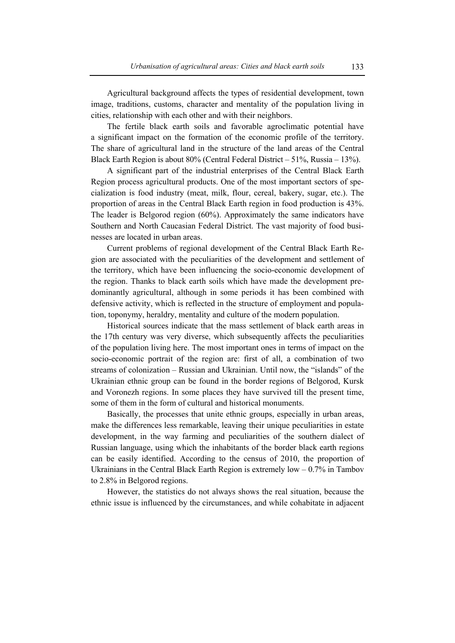Agricultural background affects the types of residential development, town image, traditions, customs, character and mentality of the population living in cities, relationship with each other and with their neighbors.

The fertile black earth soils and favorable agroclimatic potential have a significant impact on the formation of the economic profile of the territory. The share of agricultural land in the structure of the land areas of the Central Black Earth Region is about 80% (Central Federal District – 51%, Russia – 13%).

A significant part of the industrial enterprises of the Central Black Earth Region process agricultural products. One of the most important sectors of specialization is food industry (meat, milk, flour, cereal, bakery, sugar, etc.). The proportion of areas in the Central Black Earth region in food production is 43%. The leader is Belgorod region (60%). Approximately the same indicators have Southern and North Caucasian Federal District. The vast majority of food businesses are located in urban areas.

Current problems of regional development of the Central Black Earth Region are associated with the peculiarities of the development and settlement of the territory, which have been influencing the socio-economic development of the region. Thanks to black earth soils which have made the development predominantly agricultural, although in some periods it has been combined with defensive activity, which is reflected in the structure of employment and population, toponymy, heraldry, mentality and culture of the modern population.

Historical sources indicate that the mass settlement of black earth areas in the 17th century was very diverse, which subsequently affects the peculiarities of the population living here. The most important ones in terms of impact on the socio-economic portrait of the region are: first of all, a combination of two streams of colonization – Russian and Ukrainian. Until now, the "islands" of the Ukrainian ethnic group can be found in the border regions of Belgorod, Kursk and Voronezh regions. In some places they have survived till the present time, some of them in the form of cultural and historical monuments.

Basically, the processes that unite ethnic groups, especially in urban areas, make the differences less remarkable, leaving their unique peculiarities in estate development, in the way farming and peculiarities of the southern dialect of Russian language, using which the inhabitants of the border black earth regions can be easily identified. According to the census of 2010, the proportion of Ukrainians in the Central Black Earth Region is extremely  $low - 0.7\%$  in Tambov to 2.8% in Belgorod regions.

However, the statistics do not always shows the real situation, because the ethnic issue is influenced by the circumstances, and while cohabitate in adjacent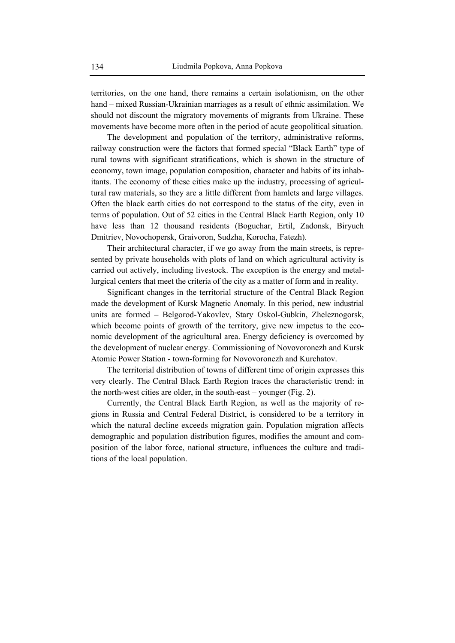territories, on the one hand, there remains a certain isolationism, on the other hand – mixed Russian-Ukrainian marriages as a result of ethnic assimilation. We should not discount the migratory movements of migrants from Ukraine. These movements have become more often in the period of acute geopolitical situation.

The development and population of the territory, administrative reforms, railway construction were the factors that formed special "Black Earth" type of rural towns with significant stratifications, which is shown in the structure of economy, town image, population composition, character and habits of its inhabitants. The economy of these cities make up the industry, processing of agricultural raw materials, so they are a little different from hamlets and large villages. Often the black earth cities do not correspond to the status of the city, even in terms of population. Out of 52 cities in the Central Black Earth Region, only 10 have less than 12 thousand residents (Boguchar, Ertil, Zadonsk, Biryuch Dmitriev, Novochopersk, Graivoron, Sudzha, Korocha, Fatezh).

Their architectural character, if we go away from the main streets, is represented by private households with plots of land on which agricultural activity is carried out actively, including livestock. The exception is the energy and metallurgical centers that meet the criteria of the city as a matter of form and in reality.

Significant changes in the territorial structure of the Central Black Region made the development of Kursk Magnetic Anomaly. In this period, new industrial units are formed – Belgorod-Yakovlev, Stary Oskol-Gubkin, Zheleznogorsk, which become points of growth of the territory, give new impetus to the economic development of the agricultural area. Energy deficiency is overcomed by the development of nuclear energy. Commissioning of Novovoronezh and Kursk Atomic Power Station - town-forming for Novovoronezh and Kurchatov.

The territorial distribution of towns of different time of origin expresses this very clearly. The Central Black Earth Region traces the characteristic trend: in the north-west cities are older, in the south-east – younger (Fig. 2).

Currently, the Central Black Earth Region, as well as the majority of regions in Russia and Central Federal District, is considered to be a territory in which the natural decline exceeds migration gain. Population migration affects demographic and population distribution figures, modifies the amount and composition of the labor force, national structure, influences the culture and traditions of the local population.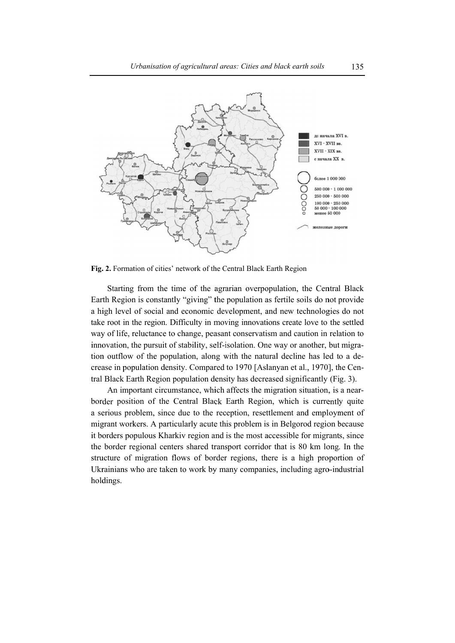

Fig. 2. Formation of cities' network of the Central Black Earth Region

Starting from the time of the agrarian overpopulation, the Central Black Earth Region is constantly "giving" the population as fertile soils do not provide a high level of social and economic development, and new technologies do not take root in the region. Difficulty in moving innovations create love to the settled way of life, reluctance to change, peasant conservatism and caution in relation to innovation, the pursuit of stability, self-isolation. One way or another, but migration outflow of the population, along with the natural decline has led to a decrease in population density. Compared to 1970 [Aslanyan et al., 1970], the Central Black Earth Region population density has decreased significantly (Fig. 3).

An important circumstance, which affects the migration situation, is a nearborder position of the Central Black Earth Region, which is currently quite a serious problem, since due to the reception, resettlement and employment of migrant workers. A particularly acute this problem is in Belgorod region because it borders populous Kharkiv region and is the most accessible for migrants, since the border regional centers shared transport corridor that is 80 km long. In the structure of migration flows of border regions, there is a high proportion of Ukrainians who are taken to work by many companies, including agro-industrial holdings.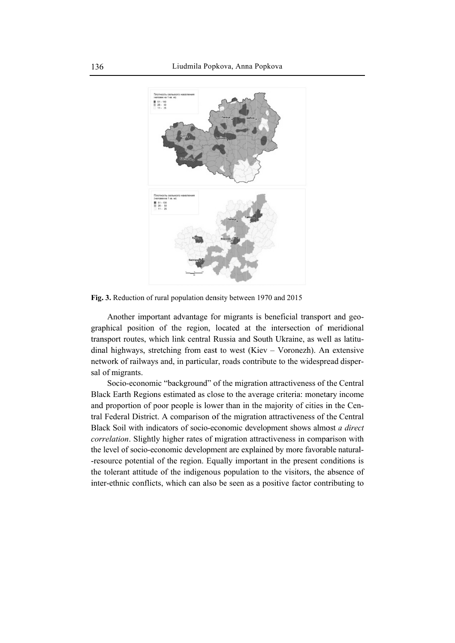

Fig. 3. Reduction of rural population density between 1970 and 2015

Another important advantage for migrants is beneficial transport and geographical position of the region, located at the intersection of meridional transport routes, which link central Russia and South Ukraine, as well as latitudinal highways, stretching from east to west (Kiev – Voronezh). An extensive network of railways and, in particular, roads contribute to the widespread dispersal of migrants.

Socio-economic "background" of the migration attractiveness of the Central Black Earth Regions estimated as close to the average criteria: monetary income and proportion of poor people is lower than in the majority of cities in the Central Federal District. A comparison of the migration attractiveness of the Central Black Soil with indicators of socio-economic development shows almost a direct correlation. Slightly higher rates of migration attractiveness in comparison with the level of socio-economic development are explained by more favorable natural--resource potential of the region. Equally important in the present conditions is the tolerant attitude of the indigenous population to the visitors, the absence of inter-ethnic conflicts, which can also be seen as a positive factor contributing to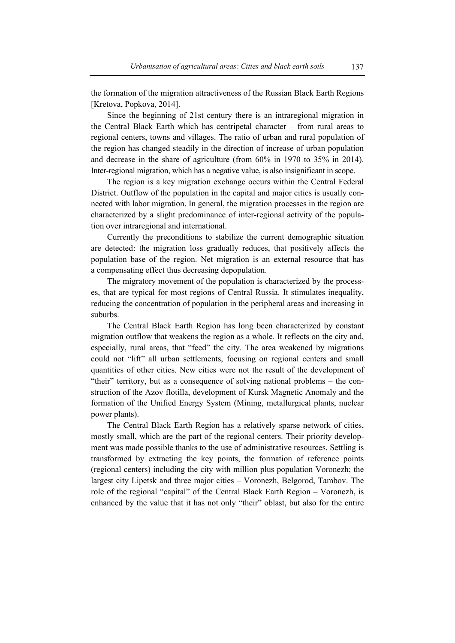the formation of the migration attractiveness of the Russian Black Earth Regions [Kretova, Popkova, 2014].

Since the beginning of 21st century there is an intraregional migration in the Central Black Earth which has centripetal character – from rural areas to regional centers, towns and villages. The ratio of urban and rural population of the region has changed steadily in the direction of increase of urban population and decrease in the share of agriculture (from 60% in 1970 to 35% in 2014). Inter-regional migration, which has a negative value, is also insignificant in scope.

The region is a key migration exchange occurs within the Central Federal District. Outflow of the population in the capital and major cities is usually connected with labor migration. In general, the migration processes in the region are characterized by a slight predominance of inter-regional activity of the population over intraregional and international.

Currently the preconditions to stabilize the current demographic situation are detected: the migration loss gradually reduces, that positively affects the population base of the region. Net migration is an external resource that has a compensating effect thus decreasing depopulation.

The migratory movement of the population is characterized by the processes, that are typical for most regions of Central Russia. It stimulates inequality, reducing the concentration of population in the peripheral areas and increasing in suburbs.

The Central Black Earth Region has long been characterized by constant migration outflow that weakens the region as a whole. It reflects on the city and, especially, rural areas, that "feed" the city. The area weakened by migrations could not "lift" all urban settlements, focusing on regional centers and small quantities of other cities. New cities were not the result of the development of "their" territory, but as a consequence of solving national problems – the construction of the Azov flotilla, development of Kursk Magnetic Anomaly and the formation of the Unified Energy System (Mining, metallurgical plants, nuclear power plants).

The Central Black Earth Region has a relatively sparse network of cities, mostly small, which are the part of the regional centers. Their priority development was made possible thanks to the use of administrative resources. Settling is transformed by extracting the key points, the formation of reference points (regional centers) including the city with million plus population Voronezh; the largest city Lipetsk and three major cities – Voronezh, Belgorod, Tambov. The role of the regional "capital" of the Central Black Earth Region – Voronezh, is enhanced by the value that it has not only "their" oblast, but also for the entire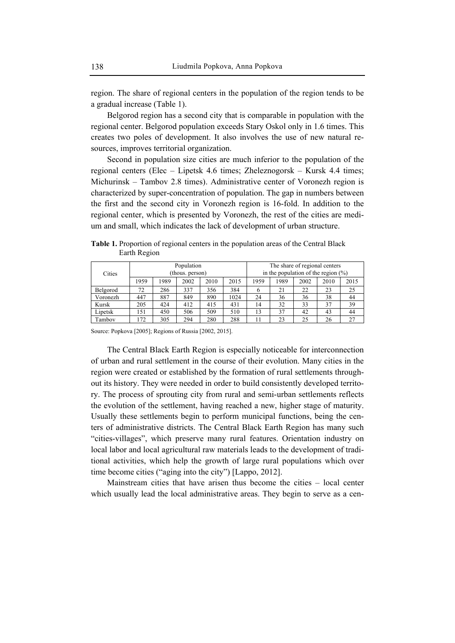region. The share of regional centers in the population of the region tends to be a gradual increase (Table 1).

Belgorod region has a second city that is comparable in population with the regional center. Belgorod population exceeds Stary Oskol only in 1.6 times. This creates two poles of development. It also involves the use of new natural resources, improves territorial organization.

Second in population size cities are much inferior to the population of the regional centers (Elec – Lipetsk 4.6 times; Zheleznogorsk – Kursk 4.4 times; Michurinsk – Tambov 2.8 times). Administrative center of Voronezh region is characterized by super-concentration of population. The gap in numbers between the first and the second city in Voronezh region is 16-fold. In addition to the regional center, which is presented by Voronezh, the rest of the cities are medium and small, which indicates the lack of development of urban structure.

**Table 1.** Proportion of regional centers in the population areas of the Central Black Earth Region

| Cities   | Population<br>(thous. person) |      |      |      |      | The share of regional centers<br>in the population of the region $(\%)$ |      |      |      |      |
|----------|-------------------------------|------|------|------|------|-------------------------------------------------------------------------|------|------|------|------|
|          | 1959                          | 1989 | 2002 | 2010 | 2015 | 1959                                                                    | 1989 | 2002 | 2010 | 2015 |
| Belgorod | 72                            | 286  | 337  | 356  | 384  | h                                                                       | 21   | 22   | 23   | 25   |
| Voronezh | 447                           | 887  | 849  | 890  | 1024 | 24                                                                      | 36   | 36   | 38   | 44   |
| Kursk    | 205                           | 424  | 412  | 415  | 431  | 14                                                                      | 32   | 33   | 37   | 39   |
| Lipetsk  | 151                           | 450  | 506  | 509  | 510  | 13                                                                      | 37   | 42   | 43   | 44   |
| Tambov   | 172                           | 305  | 294  | 280  | 288  | 11                                                                      | 23   | 25   | 26   | 27   |

Source: Popkova [2005]; Regions of Russia [2002, 2015].

The Central Black Earth Region is especially noticeable for interconnection of urban and rural settlement in the course of their evolution. Many cities in the region were created or established by the formation of rural settlements throughout its history. They were needed in order to build consistently developed territory. The process of sprouting city from rural and semi-urban settlements reflects the evolution of the settlement, having reached a new, higher stage of maturity. Usually these settlements begin to perform municipal functions, being the centers of administrative districts. The Central Black Earth Region has many such "cities-villages", which preserve many rural features. Orientation industry on local labor and local agricultural raw materials leads to the development of traditional activities, which help the growth of large rural populations which over time become cities ("aging into the city") [Lappo, 2012].

Mainstream cities that have arisen thus become the cities – local center which usually lead the local administrative areas. They begin to serve as a cen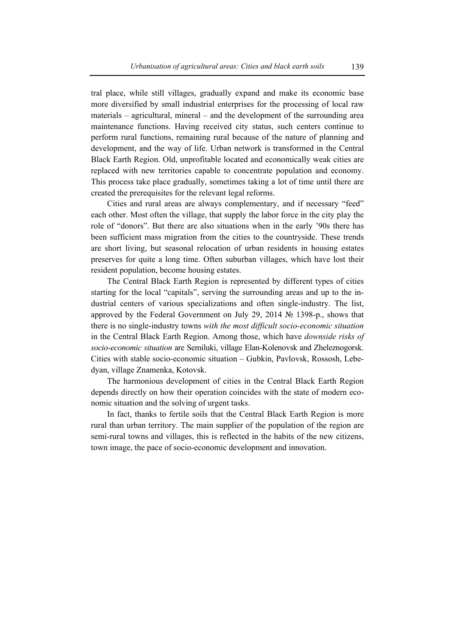tral place, while still villages, gradually expand and make its economic base more diversified by small industrial enterprises for the processing of local raw materials – agricultural, mineral – and the development of the surrounding area maintenance functions. Having received city status, such centers continue to perform rural functions, remaining rural because of the nature of planning and development, and the way of life. Urban network is transformed in the Central Black Earth Region. Old, unprofitable located and economically weak cities are replaced with new territories capable to concentrate population and economy. This process take place gradually, sometimes taking a lot of time until there are created the prerequisites for the relevant legal reforms.

Cities and rural areas are always complementary, and if necessary "feed" each other. Most often the village, that supply the labor force in the city play the role of "donors". But there are also situations when in the early '90s there has been sufficient mass migration from the cities to the countryside. These trends are short living, but seasonal relocation of urban residents in housing estates preserves for quite a long time. Often suburban villages, which have lost their resident population, become housing estates.

The Central Black Earth Region is represented by different types of cities starting for the local "capitals", serving the surrounding areas and up to the industrial centers of various specializations and often single-industry. The list, approved by the Federal Government on July 29, 2014 № 1398-p., shows that there is no single-industry towns *with the most difficult socio-economic situation* in the Central Black Earth Region. Among those, which have *downside risks of socio-economic situation* are Semiluki, village Elan-Kolenovsk and Zheleznogorsk. Cities with stable socio-economic situation – Gubkin, Pavlovsk, Rossosh, Lebedyan, village Znamenka, Kotovsk.

The harmonious development of cities in the Central Black Earth Region depends directly on how their operation coincides with the state of modern economic situation and the solving of urgent tasks.

In fact, thanks to fertile soils that the Central Black Earth Region is more rural than urban territory. The main supplier of the population of the region are semi-rural towns and villages, this is reflected in the habits of the new citizens, town image, the pace of socio-economic development and innovation.